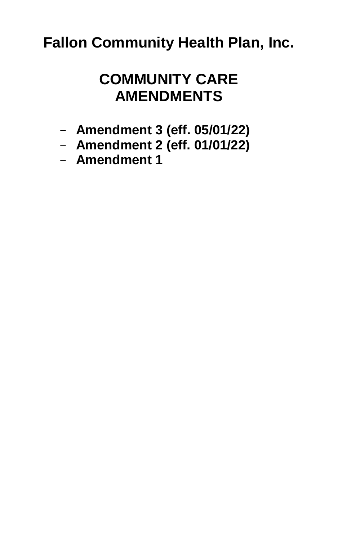# **Fallon Community Health Plan, Inc.**

# **COMMUNITY CARE AMENDMENTS**

- **[Amendment 3](#page-1-0) (eff. 05/01/22)**
- **[Amendment 2 \(eff. 01/01/22\)](#page-3-0)**
- **[Amendment 1](#page-18-0)**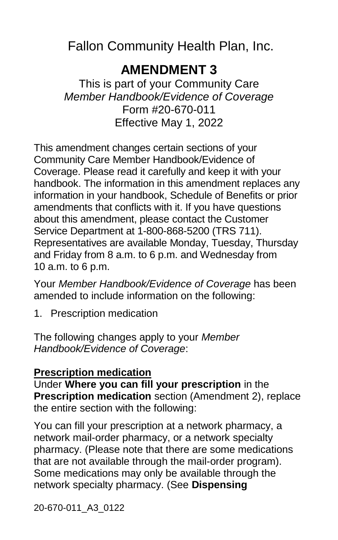<span id="page-1-0"></span>Fallon Community Health Plan, Inc.

## **AMENDMENT 3**

This is part of your Community Care *Member Handbook/Evidence of Coverage* Form #20-670-011 Effective May 1, 2022

This amendment changes certain sections of your Community Care Member Handbook/Evidence of Coverage. Please read it carefully and keep it with your handbook. The information in this amendment replaces any information in your handbook, Schedule of Benefits or prior amendments that conflicts with it. If you have questions about this amendment, please contact the Customer Service Department at 1-800-868-5200 (TRS 711). Representatives are available Monday, Tuesday, Thursday and Friday from 8 a.m. to 6 p.m. and Wednesday from 10 a.m. to 6 p.m.

Your *Member Handbook/Evidence of Coverage* has been amended to include information on the following:

1. Prescription medication

The following changes apply to your *Member Handbook/Evidence of Coverage*:

#### **Prescription medication**

Under **Where you can fill your prescription** in the **Prescription medication** section (Amendment 2), replace the entire section with the following:

You can fill your prescription at a network pharmacy, a network mail-order pharmacy, or a network specialty pharmacy. (Please note that there are some medications that are not available through the mail-order program). Some medications may only be available through the network specialty pharmacy. (See **Dispensing**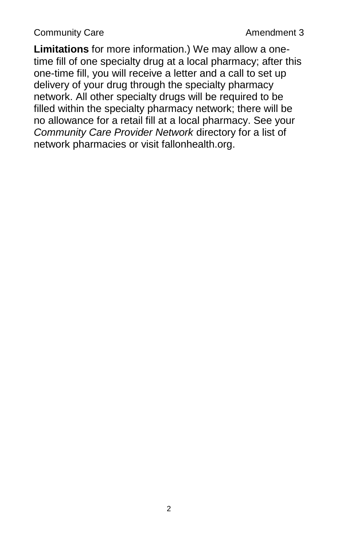**Limitations** for more information.) We may allow a onetime fill of one specialty drug at a local pharmacy; after this one-time fill, you will receive a letter and a call to set up delivery of your drug through the specialty pharmacy network. All other specialty drugs will be required to be filled within the specialty pharmacy network; there will be no allowance for a retail fill at a local pharmacy. See your *Community Care Provider Network* directory for a list of network pharmacies or visit fallonhealth.org.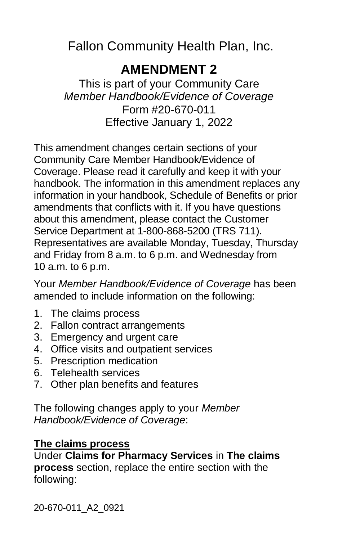<span id="page-3-0"></span>Fallon Community Health Plan, Inc.

## **AMENDMENT 2**

This is part of your Community Care *Member Handbook/Evidence of Coverage* Form #20-670-011 Effective January 1, 2022

This amendment changes certain sections of your Community Care Member Handbook/Evidence of Coverage. Please read it carefully and keep it with your handbook. The information in this amendment replaces any information in your handbook, Schedule of Benefits or prior amendments that conflicts with it. If you have questions about this amendment, please contact the Customer Service Department at 1-800-868-5200 (TRS 711). Representatives are available Monday, Tuesday, Thursday and Friday from 8 a.m. to 6 p.m. and Wednesday from 10 a.m. to 6 p.m.

Your *Member Handbook/Evidence of Coverage* has been amended to include information on the following:

- 1. The claims process
- 2. Fallon contract arrangements
- 3. Emergency and urgent care
- 4. Office visits and outpatient services
- 5. Prescription medication
- 6. Telehealth services
- 7. Other plan benefits and features

The following changes apply to your *Member Handbook/Evidence of Coverage*:

#### **The claims process**

Under **Claims for Pharmacy Services** in **The claims process** section, replace the entire section with the following:

20-670-011\_A2\_0921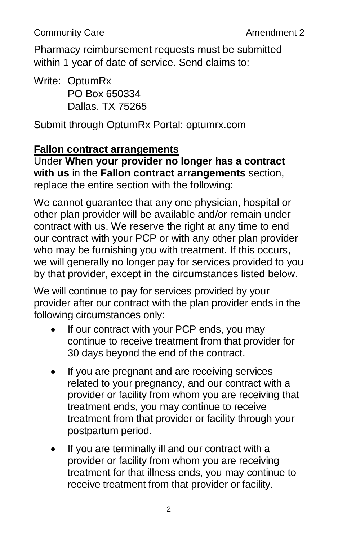Pharmacy reimbursement requests must be submitted within 1 year of date of service. Send claims to:

Write: OptumRx PO Box 650334 Dallas, TX 75265

Submit through OptumRx Portal: optumrx.com

#### **Fallon contract arrangements**

Under **When your provider no longer has a contract with us** in the **Fallon contract arrangements** section, replace the entire section with the following:

We cannot guarantee that any one physician, hospital or other plan provider will be available and/or remain under contract with us. We reserve the right at any time to end our contract with your PCP or with any other plan provider who may be furnishing you with treatment. If this occurs, we will generally no longer pay for services provided to you by that provider, except in the circumstances listed below.

We will continue to pay for services provided by your provider after our contract with the plan provider ends in the following circumstances only:

- If our contract with your PCP ends, you may continue to receive treatment from that provider for 30 days beyond the end of the contract.
- If you are pregnant and are receiving services related to your pregnancy, and our contract with a provider or facility from whom you are receiving that treatment ends, you may continue to receive treatment from that provider or facility through your postpartum period.
- If you are terminally ill and our contract with a provider or facility from whom you are receiving treatment for that illness ends, you may continue to receive treatment from that provider or facility.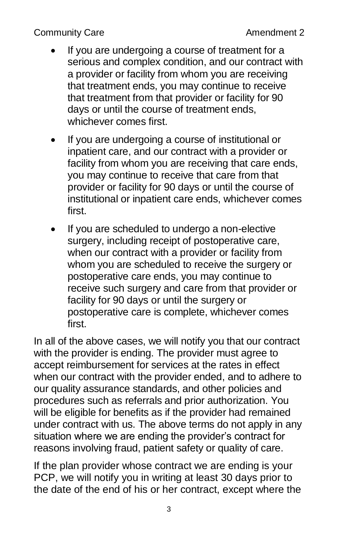- If you are undergoing a course of treatment for a serious and complex condition, and our contract with a provider or facility from whom you are receiving that treatment ends, you may continue to receive that treatment from that provider or facility for 90 days or until the course of treatment ends, whichever comes first.
- If you are undergoing a course of institutional or inpatient care, and our contract with a provider or facility from whom you are receiving that care ends, you may continue to receive that care from that provider or facility for 90 days or until the course of institutional or inpatient care ends, whichever comes first.
- If you are scheduled to undergo a non-elective surgery, including receipt of postoperative care, when our contract with a provider or facility from whom you are scheduled to receive the surgery or postoperative care ends, you may continue to receive such surgery and care from that provider or facility for 90 days or until the surgery or postoperative care is complete, whichever comes first.

In all of the above cases, we will notify you that our contract with the provider is ending. The provider must agree to accept reimbursement for services at the rates in effect when our contract with the provider ended, and to adhere to our quality assurance standards, and other policies and procedures such as referrals and prior authorization. You will be eligible for benefits as if the provider had remained under contract with us. The above terms do not apply in any situation where we are ending the provider's contract for reasons involving fraud, patient safety or quality of care.

If the plan provider whose contract we are ending is your PCP, we will notify you in writing at least 30 days prior to the date of the end of his or her contract, except where the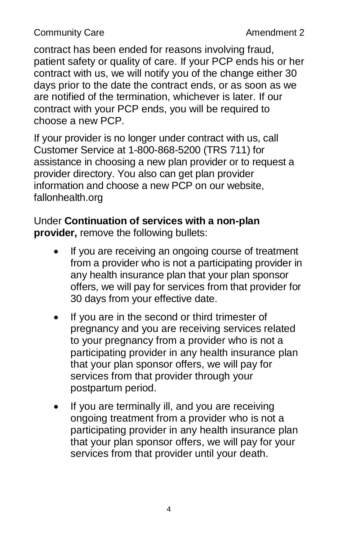contract has been ended for reasons involving fraud, patient safety or quality of care. If your PCP ends his or her contract with us, we will notify you of the change either 30 days prior to the date the contract ends, or as soon as we are notified of the termination, whichever is later. If our contract with your PCP ends, you will be required to choose a new PCP.

If your provider is no longer under contract with us, call Customer Service at 1-800-868-5200 (TRS 711) for assistance in choosing a new plan provider or to request a provider directory. You also can get plan provider information and choose a new PCP on our website, fallonhealth.org

Under **Continuation of services with a non-plan provider,** remove the following bullets:

- If you are receiving an ongoing course of treatment from a provider who is not a participating provider in any health insurance plan that your plan sponsor offers, we will pay for services from that provider for 30 days from your effective date.
- If you are in the second or third trimester of pregnancy and you are receiving services related to your pregnancy from a provider who is not a participating provider in any health insurance plan that your plan sponsor offers, we will pay for services from that provider through your postpartum period.
- If you are terminally ill, and you are receiving ongoing treatment from a provider who is not a participating provider in any health insurance plan that your plan sponsor offers, we will pay for your services from that provider until your death.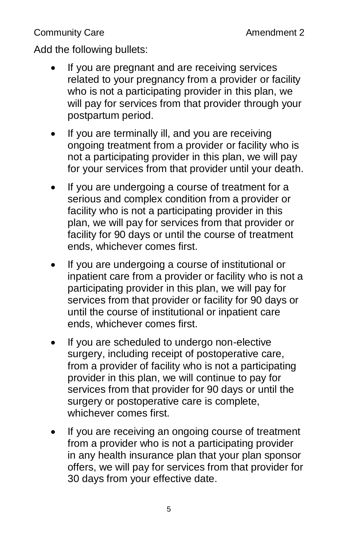Add the following bullets:

- If you are pregnant and are receiving services related to your pregnancy from a provider or facility who is not a participating provider in this plan, we will pay for services from that provider through your postpartum period.
- If you are terminally ill, and you are receiving ongoing treatment from a provider or facility who is not a participating provider in this plan, we will pay for your services from that provider until your death.
- If you are undergoing a course of treatment for a serious and complex condition from a provider or facility who is not a participating provider in this plan, we will pay for services from that provider or facility for 90 days or until the course of treatment ends, whichever comes first.
- If you are undergoing a course of institutional or inpatient care from a provider or facility who is not a participating provider in this plan, we will pay for services from that provider or facility for 90 days or until the course of institutional or inpatient care ends, whichever comes first.
- If you are scheduled to undergo non-elective surgery, including receipt of postoperative care, from a provider of facility who is not a participating provider in this plan, we will continue to pay for services from that provider for 90 days or until the surgery or postoperative care is complete, whichever comes first.
- If you are receiving an ongoing course of treatment from a provider who is not a participating provider in any health insurance plan that your plan sponsor offers, we will pay for services from that provider for 30 days from your effective date.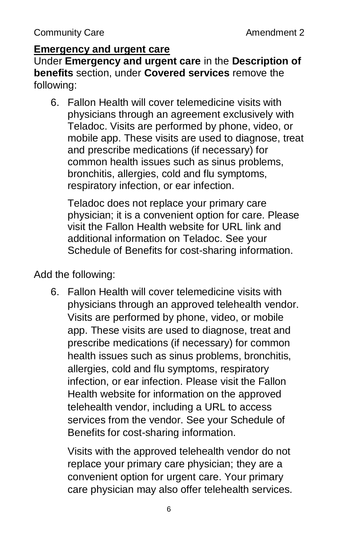### **Emergency and urgent care**

Under **Emergency and urgent care** in the **Description of benefits** section, under **Covered services** remove the following:

6. Fallon Health will cover telemedicine visits with physicians through an agreement exclusively with Teladoc. Visits are performed by phone, video, or mobile app. These visits are used to diagnose, treat and prescribe medications (if necessary) for common health issues such as sinus problems, bronchitis, allergies, cold and flu symptoms, respiratory infection, or ear infection.

Teladoc does not replace your primary care physician; it is a convenient option for care. Please visit the Fallon Health website for URL link and additional information on Teladoc. See your Schedule of Benefits for cost-sharing information.

Add the following:

6. Fallon Health will cover telemedicine visits with physicians through an approved telehealth vendor. Visits are performed by phone, video, or mobile app. These visits are used to diagnose, treat and prescribe medications (if necessary) for common health issues such as sinus problems, bronchitis, allergies, cold and flu symptoms, respiratory infection, or ear infection. Please visit the Fallon Health website for information on the approved telehealth vendor, including a URL to access services from the vendor. See your Schedule of Benefits for cost-sharing information.

Visits with the approved telehealth vendor do not replace your primary care physician; they are a convenient option for urgent care. Your primary care physician may also offer telehealth services.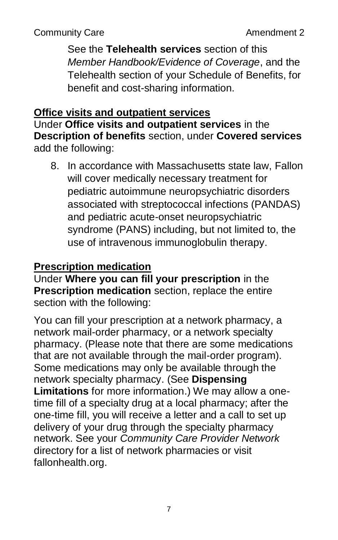See the **Telehealth services** section of this *Member Handbook/Evidence of Coverage*, and the Telehealth section of your Schedule of Benefits, for benefit and cost-sharing information.

#### **Office visits and outpatient services**

Under **Office visits and outpatient services** in the **Description of benefits** section, under **Covered services** add the following:

8. In accordance with Massachusetts state law, Fallon will cover medically necessary treatment for pediatric autoimmune neuropsychiatric disorders associated with streptococcal infections (PANDAS) and pediatric acute-onset neuropsychiatric syndrome (PANS) including, but not limited to, the use of intravenous immunoglobulin therapy.

## **Prescription medication**

Under **Where you can fill your prescription** in the **Prescription medication** section, replace the entire section with the following:

You can fill your prescription at a network pharmacy, a network mail-order pharmacy, or a network specialty pharmacy. (Please note that there are some medications that are not available through the mail-order program). Some medications may only be available through the network specialty pharmacy. (See **Dispensing Limitations** for more information.) We may allow a onetime fill of a specialty drug at a local pharmacy; after the one-time fill, you will receive a letter and a call to set up delivery of your drug through the specialty pharmacy network. See your *Community Care Provider Network* directory for a list of network pharmacies or visit fallonhealth.org.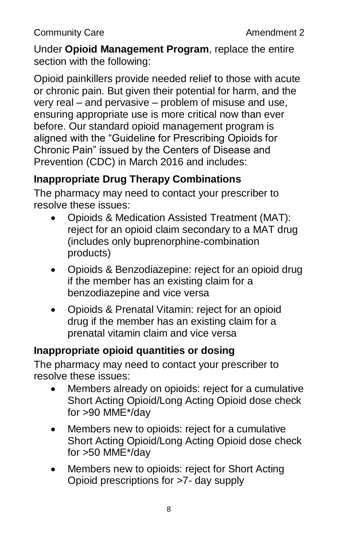Under **Opioid Management Program**, replace the entire section with the following:

Opioid painkillers provide needed relief to those with acute or chronic pain. But given their potential for harm, and the very real – and pervasive – problem of misuse and use, ensuring appropriate use is more critical now than ever before. Our standard opioid management program is aligned with the "Guideline for Prescribing Opioids for Chronic Pain" issued by the Centers of Disease and Prevention (CDC) in March 2016 and includes:

## **Inappropriate Drug Therapy Combinations**

The pharmacy may need to contact your prescriber to resolve these issues:

- Opioids & Medication Assisted Treatment (MAT): reject for an opioid claim secondary to a MAT drug (includes only buprenorphine-combination products)
- Opioids & Benzodiazepine: reject for an opioid drug if the member has an existing claim for a benzodiazepine and vice versa
- Opioids & Prenatal Vitamin: reject for an opioid drug if the member has an existing claim for a prenatal vitamin claim and vice versa

## **Inappropriate opioid quantities or dosing**

The pharmacy may need to contact your prescriber to resolve these issues:

- Members already on opioids: reject for a cumulative Short Acting Opioid/Long Acting Opioid dose check for >90 MME\*/day
- Members new to opioids: reject for a cumulative Short Acting Opioid/Long Acting Opioid dose check for >50 MME\*/day
- Members new to opioids: reject for Short Acting Opioid prescriptions for >7- day supply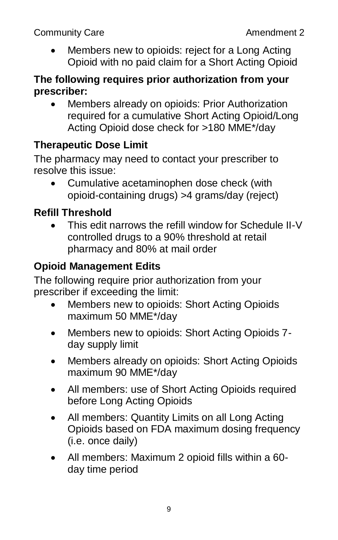Members new to opioids: reject for a Long Acting Opioid with no paid claim for a Short Acting Opioid

### **The following requires prior authorization from your prescriber:**

• Members already on opioids: Prior Authorization required for a cumulative Short Acting Opioid/Long Acting Opioid dose check for >180 MME\*/day

## **Therapeutic Dose Limit**

The pharmacy may need to contact your prescriber to resolve this issue:

 Cumulative acetaminophen dose check (with opioid-containing drugs) >4 grams/day (reject)

## **Refill Threshold**

 This edit narrows the refill window for Schedule II-V controlled drugs to a 90% threshold at retail pharmacy and 80% at mail order

## **Opioid Management Edits**

The following require prior authorization from your prescriber if exceeding the limit:

- Members new to opioids: Short Acting Opioids maximum 50 MME\*/day
- Members new to opioids: Short Acting Opioids 7 day supply limit
- Members already on opioids: Short Acting Opioids maximum 90 MME\*/day
- All members: use of Short Acting Opioids required before Long Acting Opioids
- All members: Quantity Limits on all Long Acting Opioids based on FDA maximum dosing frequency (i.e. once daily)
- All members: Maximum 2 opioid fills within a 60 day time period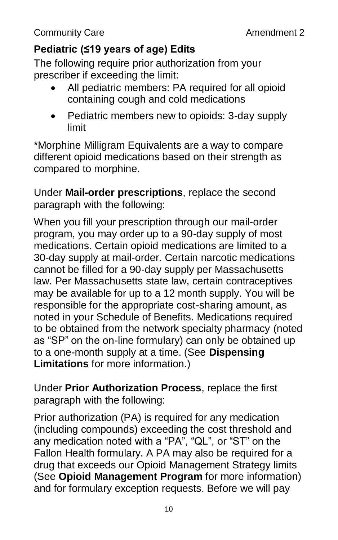## **Pediatric (≤19 years of age) Edits**

The following require prior authorization from your prescriber if exceeding the limit:

- All pediatric members: PA required for all opioid containing cough and cold medications
- Pediatric members new to opioids: 3-day supply limit

\*Morphine Milligram Equivalents are a way to compare different opioid medications based on their strength as compared to morphine.

Under **Mail-order prescriptions**, replace the second paragraph with the following:

When you fill your prescription through our mail-order program, you may order up to a 90-day supply of most medications. Certain opioid medications are limited to a 30-day supply at mail-order. Certain narcotic medications cannot be filled for a 90-day supply per Massachusetts law. Per Massachusetts state law, certain contraceptives may be available for up to a 12 month supply. You will be responsible for the appropriate cost-sharing amount, as noted in your Schedule of Benefits. Medications required to be obtained from the network specialty pharmacy (noted as "SP" on the on-line formulary) can only be obtained up to a one-month supply at a time. (See **Dispensing Limitations** for more information.)

Under **Prior Authorization Process**, replace the first paragraph with the following:

Prior authorization (PA) is required for any medication (including compounds) exceeding the cost threshold and any medication noted with a "PA", "QL", or "ST" on the Fallon Health formulary. A PA may also be required for a drug that exceeds our Opioid Management Strategy limits (See **Opioid Management Program** for more information) and for formulary exception requests. Before we will pay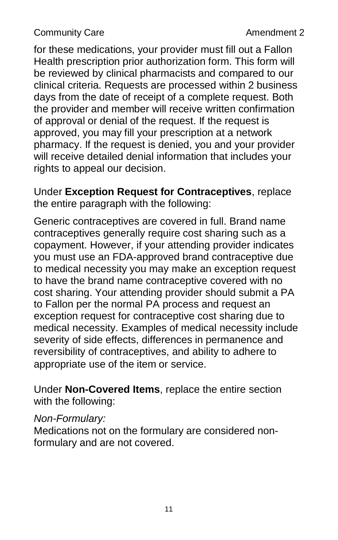for these medications, your provider must fill out a Fallon Health prescription prior authorization form. This form will be reviewed by clinical pharmacists and compared to our clinical criteria. Requests are processed within 2 business days from the date of receipt of a complete request. Both the provider and member will receive written confirmation of approval or denial of the request. If the request is approved, you may fill your prescription at a network pharmacy. If the request is denied, you and your provider will receive detailed denial information that includes your rights to appeal our decision.

Under **Exception Request for Contraceptives**, replace the entire paragraph with the following:

Generic contraceptives are covered in full. Brand name contraceptives generally require cost sharing such as a copayment. However, if your attending provider indicates you must use an FDA-approved brand contraceptive due to medical necessity you may make an exception request to have the brand name contraceptive covered with no cost sharing. Your attending provider should submit a PA to Fallon per the normal PA process and request an exception request for contraceptive cost sharing due to medical necessity. Examples of medical necessity include severity of side effects, differences in permanence and reversibility of contraceptives, and ability to adhere to appropriate use of the item or service.

Under **Non-Covered Items**, replace the entire section with the following:

#### *Non-Formulary:*

Medications not on the formulary are considered nonformulary and are not covered.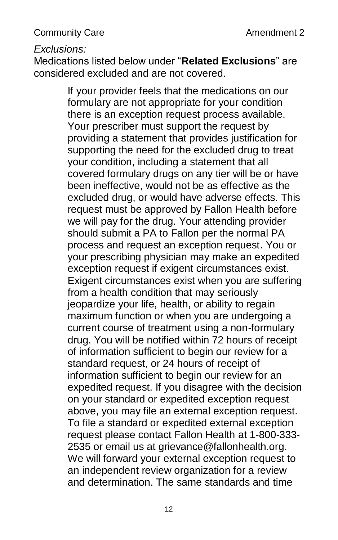#### *Exclusions:*

Medications listed below under "**Related Exclusions**" are considered excluded and are not covered.

> If your provider feels that the medications on our formulary are not appropriate for your condition there is an exception request process available. Your prescriber must support the request by providing a statement that provides justification for supporting the need for the excluded drug to treat your condition, including a statement that all covered formulary drugs on any tier will be or have been ineffective, would not be as effective as the excluded drug, or would have adverse effects. This request must be approved by Fallon Health before we will pay for the drug. Your attending provider should submit a PA to Fallon per the normal PA process and request an exception request. You or your prescribing physician may make an expedited exception request if exigent circumstances exist. Exigent circumstances exist when you are suffering from a health condition that may seriously jeopardize your life, health, or ability to regain maximum function or when you are undergoing a current course of treatment using a non-formulary drug. You will be notified within 72 hours of receipt of information sufficient to begin our review for a standard request, or 24 hours of receipt of information sufficient to begin our review for an expedited request. If you disagree with the decision on your standard or expedited exception request above, you may file an external exception request. To file a standard or expedited external exception request please contact Fallon Health at 1-800-333- 2535 or email us at grievance@fallonhealth.org. We will forward your external exception request to an independent review organization for a review and determination. The same standards and time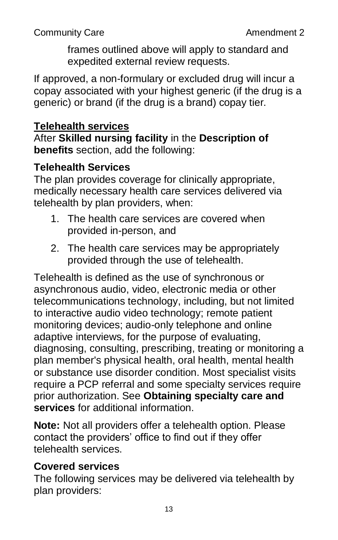frames outlined above will apply to standard and expedited external review requests.

If approved, a non-formulary or excluded drug will incur a copay associated with your highest generic (if the drug is a generic) or brand (if the drug is a brand) copay tier.

## **Telehealth services**

After **Skilled nursing facility** in the **Description of benefits** section, add the following:

## **Telehealth Services**

The plan provides coverage for clinically appropriate, medically necessary health care services delivered via telehealth by plan providers, when:

- 1. The health care services are covered when provided in-person, and
- 2. The health care services may be appropriately provided through the use of telehealth.

Telehealth is defined as the use of synchronous or asynchronous audio, video, electronic media or other telecommunications technology, including, but not limited to interactive audio video technology; remote patient monitoring devices; audio-only telephone and online adaptive interviews, for the purpose of evaluating, diagnosing, consulting, prescribing, treating or monitoring a plan member's physical health, oral health, mental health or substance use disorder condition. Most specialist visits require a PCP referral and some specialty services require prior authorization. See **Obtaining specialty care and services** for additional information.

**Note:** Not all providers offer a telehealth option. Please contact the providers' office to find out if they offer telehealth services.

## **Covered services**

The following services may be delivered via telehealth by plan providers: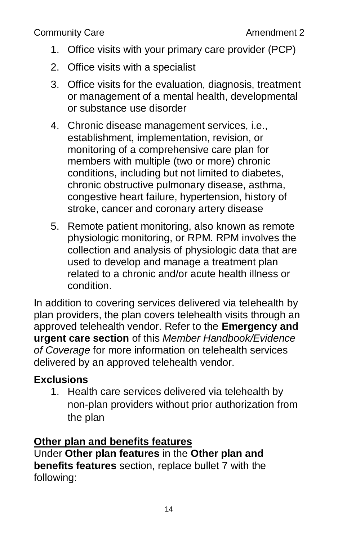- 1. Office visits with your primary care provider (PCP)
- 2. Office visits with a specialist
- 3. Office visits for the evaluation, diagnosis, treatment or management of a mental health, developmental or substance use disorder
- 4. Chronic disease management services, i.e., establishment, implementation, revision, or monitoring of a comprehensive care plan for members with multiple (two or more) chronic conditions, including but not limited to diabetes, chronic obstructive pulmonary disease, asthma, congestive heart failure, hypertension, history of stroke, cancer and coronary artery disease
- 5. Remote patient monitoring, also known as remote physiologic monitoring, or RPM. RPM involves the collection and analysis of physiologic data that are used to develop and manage a treatment plan related to a chronic and/or acute health illness or condition.

In addition to covering services delivered via telehealth by plan providers, the plan covers telehealth visits through an approved telehealth vendor. Refer to the **Emergency and urgent care section** of this *Member Handbook/Evidence of Coverage* for more information on telehealth services delivered by an approved telehealth vendor.

## **Exclusions**

1. Health care services delivered via telehealth by non-plan providers without prior authorization from the plan

#### **Other plan and benefits features**

Under **Other plan features** in the **Other plan and benefits features** section, replace bullet 7 with the following: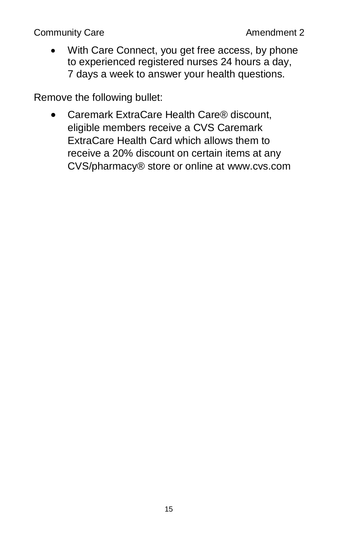• With Care Connect, you get free access, by phone to experienced registered nurses 24 hours a day, 7 days a week to answer your health questions.

Remove the following bullet:

● Caremark ExtraCare Health Care<sup>®</sup> discount, eligible members receive a CVS Caremark ExtraCare Health Card which allows them to receive a 20% discount on certain items at any CVS/pharmacy® store or online at [www.cvs.com](http://www.cvs.com/)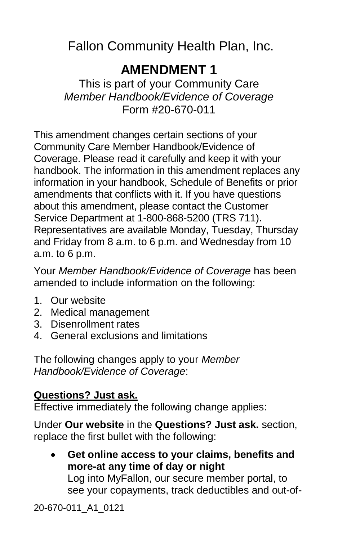<span id="page-18-0"></span>Fallon Community Health Plan, Inc.

## **AMENDMENT 1**

This is part of your Community Care *Member Handbook/Evidence of Coverage* Form #20-670-011

This amendment changes certain sections of your Community Care Member Handbook/Evidence of Coverage. Please read it carefully and keep it with your handbook. The information in this amendment replaces any information in your handbook, Schedule of Benefits or prior amendments that conflicts with it. If you have questions about this amendment, please contact the Customer Service Department at 1-800-868-5200 (TRS 711). Representatives are available Monday, Tuesday, Thursday and Friday from 8 a.m. to 6 p.m. and Wednesday from 10 a.m. to 6 p.m.

Your *Member Handbook/Evidence of Coverage* has been amended to include information on the following:

- 1. Our website
- 2. Medical management
- 3. Disenrollment rates
- 4. General exclusions and limitations

The following changes apply to your *Member Handbook/Evidence of Coverage*:

## **Questions? Just ask.**

Effective immediately the following change applies:

Under **Our website** in the **Questions? Just ask.** section, replace the first bullet with the following:

 **Get online access to your claims, benefits and more-at any time of day or night** Log into MyFallon, our secure member portal, to see your copayments, track deductibles and out-of-

20-670-011\_A1\_0121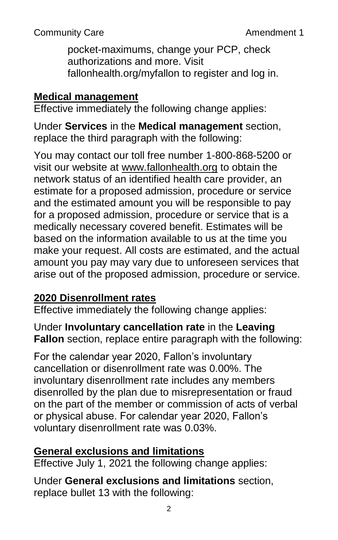Community Care **Amendment 1** 

pocket-maximums, change your PCP, check authorizations and more. Visit fallonhealth.org/myfallon to register and log in.

## **Medical management**

Effective immediately the following change applies:

Under **Services** in the **Medical management** section, replace the third paragraph with the following:

You may contact our toll free number 1-800-868-5200 or visit our website at [www.fallonhealth.org](http://www.fallonhealth.org/) to obtain the network status of an identified health care provider, an estimate for a proposed admission, procedure or service and the estimated amount you will be responsible to pay for a proposed admission, procedure or service that is a medically necessary covered benefit. Estimates will be based on the information available to us at the time you make your request. All costs are estimated, and the actual amount you pay may vary due to unforeseen services that arise out of the proposed admission, procedure or service.

## **2020 Disenrollment rates**

Effective immediately the following change applies:

Under **Involuntary cancellation rate** in the **Leaving Fallon** section, replace entire paragraph with the following:

For the calendar year 2020, Fallon's involuntary cancellation or disenrollment rate was 0.00%. The involuntary disenrollment rate includes any members disenrolled by the plan due to misrepresentation or fraud on the part of the member or commission of acts of verbal or physical abuse. For calendar year 2020, Fallon's voluntary disenrollment rate was 0.03%.

## **General exclusions and limitations**

Effective July 1, 2021 the following change applies:

Under **General exclusions and limitations** section, replace bullet 13 with the following: